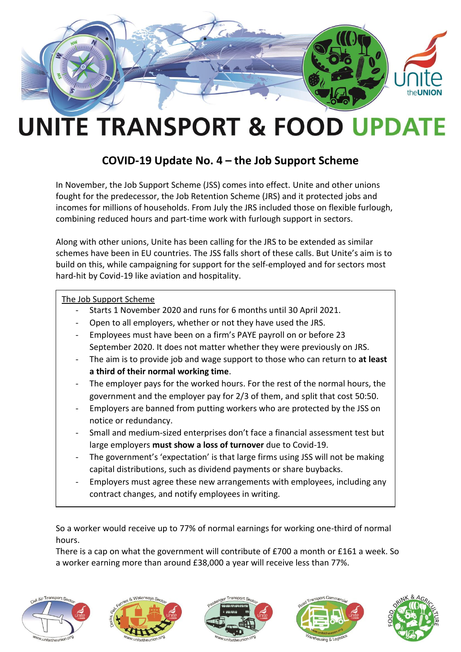

## **UNITE TRANSPORT & FOOD UPDATE**

## **COVID-19 Update No. 4 – the Job Support Scheme**

In November, the Job Support Scheme (JSS) comes into effect. Unite and other unions fought for the predecessor, the Job Retention Scheme (JRS) and it protected jobs and incomes for millions of households. From July the JRS included those on flexible furlough, combining reduced hours and part-time work with furlough support in sectors.

Along with other unions, Unite has been calling for the JRS to be extended as similar schemes have been in EU countries. The JSS falls short of these calls. But Unite's aim is to build on this, while campaigning for support for the self-employed and for sectors most hard-hit by Covid-19 like aviation and hospitality.

## The Job Support Scheme

- Starts 1 November 2020 and runs for 6 months until 30 April 2021.
- Open to all employers, whether or not they have used the JRS.
- Employees must have been on a firm's PAYE payroll on or before 23 September 2020. It does not matter whether they were previously on JRS.
- The aim is to provide job and wage support to those who can return to **at least a third of their normal working time**.
- The employer pays for the worked hours. For the rest of the normal hours, the government and the employer pay for 2/3 of them, and split that cost 50:50.
- Employers are banned from putting workers who are protected by the JSS on notice or redundancy.
- Small and medium-sized enterprises don't face a financial assessment test but large employers **must show a loss of turnover** due to Covid-19.
- The government's 'expectation' is that large firms using JSS will not be making capital distributions, such as dividend payments or share buybacks.
- Employers must agree these new arrangements with employees, including any contract changes, and notify employees in writing.

So a worker would receive up to 77% of normal earnings for working one-third of normal hours.

There is a cap on what the government will contribute of £700 a month or £161 a week. So a worker earning more than around £38,000 a year will receive less than 77%.